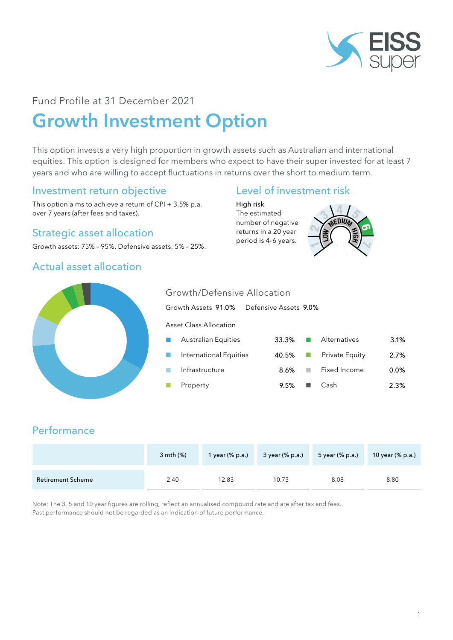

## Fund Profile at 31 December 2021

# Growth Investment Option

This option invests a very high proportion in growth assets such as Australian and international equities. This option is designed for members who expect to have their super invested for at least 7 years and who are willing to accept fluctuations in returns over the short to medium term.

Growth/Defensive Allocation

#### Investment return objective

This option aims to achieve a return of CPI + 3.5% p.a. over 7 years (after fees and taxes).

#### Strategic asset allocation

Growth assets: 75% – 95%. Defensive assets: 5% – 25%.

## Actual asset allocation

#### Level of investment risk

High risk The estimated number of negative returns in a 20 year period is 4-6 years.





# Growth Assets 91.0% Defensive Assets 9.0% Asset Class Allocation Australian Equities 33.3% **N** Alternatives 3.1% International Equities 40.5% Private Equity 2.7% n Infrastructure **8.6%** Fixed Income 0.0% n Property 2.3% 9.5% n Cash 2.3%

## **Performance**

|                          | $3$ mth $(\%)$ | 1 year $(\%$ p.a.) | 3 year (% p.a.) | 5 year (% p.a.) | 10 year (% p.a.) |
|--------------------------|----------------|--------------------|-----------------|-----------------|------------------|
| <b>Retirement Scheme</b> | 2.40           | 12.83              | 10.73           | 8.08            | 8.80             |

Note: The 3, 5 and 10 year figures are rolling, reflect an annualised compound rate and are after tax and fees. Past performance should not be regarded as an indication of future performance.